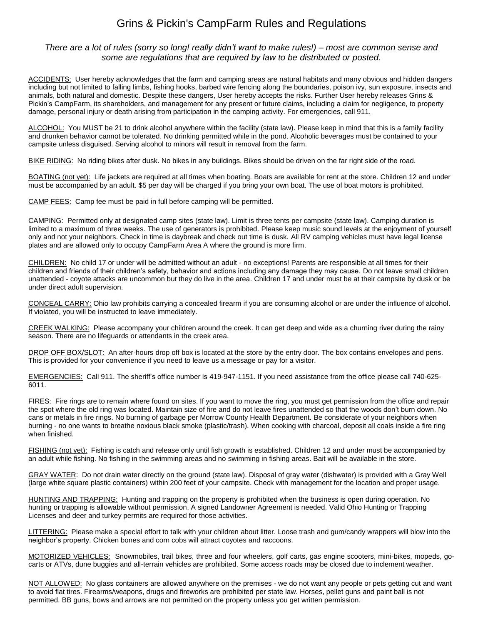## Grins & Pickin's CampFarm Rules and Regulations

## *There are a lot of rules (sorry so long! really didn't want to make rules!) – most are common sense and some are regulations that are required by law to be distributed or posted.*

ACCIDENTS: User hereby acknowledges that the farm and camping areas are natural habitats and many obvious and hidden dangers including but not limited to falling limbs, fishing hooks, barbed wire fencing along the boundaries, poison ivy, sun exposure, insects and animals, both natural and domestic. Despite these dangers, User hereby accepts the risks. Further User hereby releases Grins & Pickin's CampFarm, its shareholders, and management for any present or future claims, including a claim for negligence, to property damage, personal injury or death arising from participation in the camping activity. For emergencies, call 911.

ALCOHOL: You MUST be 21 to drink alcohol anywhere within the facility (state law). Please keep in mind that this is a family facility and drunken behavior cannot be tolerated. No drinking permitted while in the pond. Alcoholic beverages must be contained to your campsite unless disguised. Serving alcohol to minors will result in removal from the farm.

BIKE RIDING: No riding bikes after dusk. No bikes in any buildings. Bikes should be driven on the far right side of the road.

BOATING (not yet): Life jackets are required at all times when boating. Boats are available for rent at the store. Children 12 and under must be accompanied by an adult. \$5 per day will be charged if you bring your own boat. The use of boat motors is prohibited.

CAMP FEES: Camp fee must be paid in full before camping will be permitted.

CAMPING: Permitted only at designated camp sites (state law). Limit is three tents per campsite (state law). Camping duration is limited to a maximum of three weeks. The use of generators is prohibited. Please keep music sound levels at the enjoyment of yourself only and not your neighbors. Check in time is daybreak and check out time is dusk. All RV camping vehicles must have legal license plates and are allowed only to occupy CampFarm Area A where the ground is more firm.

CHILDREN: No child 17 or under will be admitted without an adult - no exceptions! Parents are responsible at all times for their children and friends of their children's safety, behavior and actions including any damage they may cause. Do not leave small children unattended - coyote attacks are uncommon but they do live in the area. Children 17 and under must be at their campsite by dusk or be under direct adult supervision.

CONCEAL CARRY: Ohio law prohibits carrying a concealed firearm if you are consuming alcohol or are under the influence of alcohol. If violated, you will be instructed to leave immediately.

CREEK WALKING: Please accompany your children around the creek. It can get deep and wide as a churning river during the rainy season. There are no lifeguards or attendants in the creek area.

DROP OFF BOX/SLOT: An after-hours drop off box is located at the store by the entry door. The box contains envelopes and pens. This is provided for your convenience if you need to leave us a message or pay for a visitor.

EMERGENCIES: Call 911. The sheriff's office number is 419-947-1151. If you need assistance from the office please call 740-625- 6011.

FIRES: Fire rings are to remain where found on sites. If you want to move the ring, you must get permission from the office and repair the spot where the old ring was located. Maintain size of fire and do not leave fires unattended so that the woods don't burn down. No cans or metals in fire rings. No burning of garbage per Morrow County Health Department. Be considerate of your neighbors when burning - no one wants to breathe noxious black smoke (plastic/trash). When cooking with charcoal, deposit all coals inside a fire ring when finished.

FISHING (not yet): Fishing is catch and release only until fish growth is established. Children 12 and under must be accompanied by an adult while fishing. No fishing in the swimming areas and no swimming in fishing areas. Bait will be available in the store.

GRAY WATER: Do not drain water directly on the ground (state law). Disposal of gray water (dishwater) is provided with a Gray Well (large white square plastic containers) within 200 feet of your campsite. Check with management for the location and proper usage.

HUNTING AND TRAPPING: Hunting and trapping on the property is prohibited when the business is open during operation. No hunting or trapping is allowable without permission. A signed Landowner Agreement is needed. Valid Ohio Hunting or Trapping Licenses and deer and turkey permits are required for those activities.

LITTERING: Please make a special effort to talk with your children about litter. Loose trash and gum/candy wrappers will blow into the neighbor's property. Chicken bones and corn cobs will attract coyotes and raccoons.

MOTORIZED VEHICLES: Snowmobiles, trail bikes, three and four wheelers, golf carts, gas engine scooters, mini-bikes, mopeds, gocarts or ATVs, dune buggies and all-terrain vehicles are prohibited. Some access roads may be closed due to inclement weather.

NOT ALLOWED: No glass containers are allowed anywhere on the premises - we do not want any people or pets getting cut and want to avoid flat tires. Firearms/weapons, drugs and fireworks are prohibited per state law. Horses, pellet guns and paint ball is not permitted. BB guns, bows and arrows are not permitted on the property unless you get written permission.